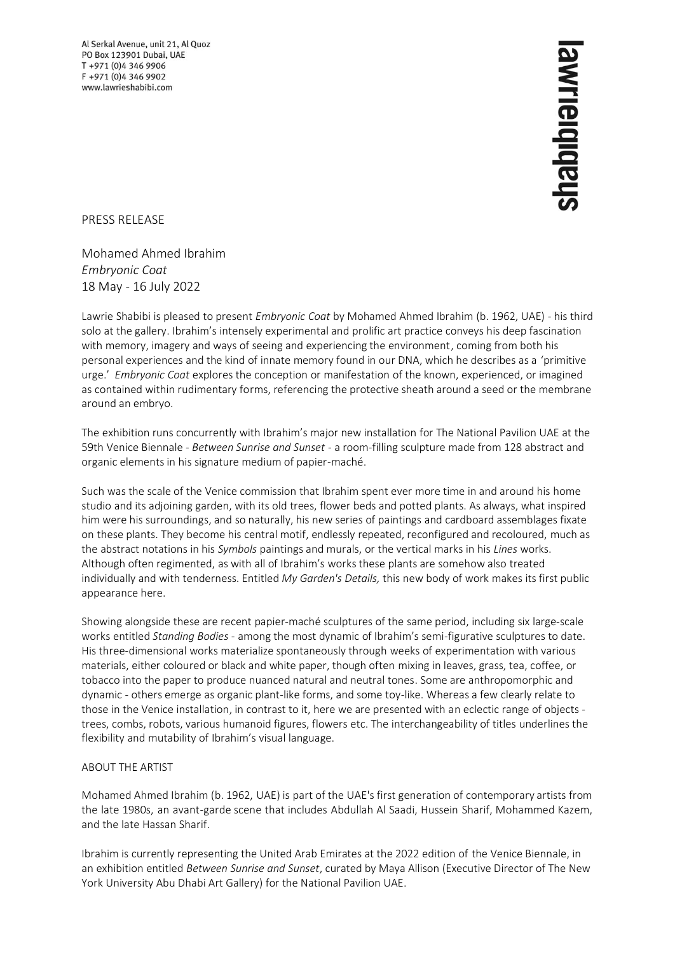Al Serkal Avenue, unit 21, Al Quoz PO Box 123901 Dubai, UAE T +971 (0)4 346 9906 F +971 (0)4 346 9902 www.lawrieshabibi.com

## shabibiaiuwe

PRESS RELEASE

Mohamed Ahmed Ibrahim *Embryonic Coat* 18 May - 16 July 2022

Lawrie Shabibi is pleased to present *Embryonic Coat* by Mohamed Ahmed Ibrahim (b. 1962, UAE) - his third solo at the gallery. Ibrahim's intensely experimental and prolific art practice conveys his deep fascination with memory, imagery and ways of seeing and experiencing the environment, coming from both his personal experiences and the kind of innate memory found in our DNA, which he describes as a 'primitive urge.' *Embryonic Coat* explores the conception or manifestation of the known, experienced, or imagined as contained within rudimentary forms, referencing the protective sheath around a seed or the membrane around an embryo.

The exhibition runs concurrently with Ibrahim's major new installation for The National Pavilion UAE at the 59th Venice Biennale - *Between Sunrise and Sunset* - a room-filling sculpture made from 128 abstract and organic elements in his signature medium of papier-maché.

Such was the scale of the Venice commission that Ibrahim spent ever more time in and around his home studio and its adjoining garden, with its old trees, flower beds and potted plants. As always, what inspired him were his surroundings, and so naturally, his new series of paintings and cardboard assemblages fixate on these plants. They become his central motif, endlessly repeated, reconfigured and recoloured, much as the abstract notations in his *Symbols* paintings and murals, or the vertical marks in his *Lines* works. Although often regimented, as with all of Ibrahim's works these plants are somehow also treated individually and with tenderness. Entitled *My Garden's Details,* this new body of work makes its first public appearance here.

Showing alongside these are recent papier-maché sculptures of the same period, including six large-scale works entitled *Standing Bodies* - among the most dynamic of Ibrahim's semi-figurative sculptures to date. His three-dimensional works materialize spontaneously through weeks of experimentation with various materials, either coloured or black and white paper, though often mixing in leaves, grass, tea, coffee, or tobacco into the paper to produce nuanced natural and neutral tones. Some are anthropomorphic and dynamic - others emerge as organic plant-like forms, and some toy-like. Whereas a few clearly relate to those in the Venice installation, in contrast to it, here we are presented with an eclectic range of objects trees, combs, robots, various humanoid figures, flowers etc. The interchangeability of titles underlines the flexibility and mutability of Ibrahim's visual language.

## ABOUT THE ARTIST

Mohamed Ahmed Ibrahim (b. 1962, UAE) is part of the UAE's first generation of contemporary artists from the late 1980s, an avant-garde scene that includes Abdullah Al Saadi, Hussein Sharif, Mohammed Kazem, and the late Hassan Sharif.

Ibrahim is currently representing the United Arab Emirates at the 2022 edition of the Venice Biennale, in an exhibition entitled *Between Sunrise and Sunset*, curated by Maya Allison (Executive Director of The New York University Abu Dhabi Art Gallery) for the National Pavilion UAE.